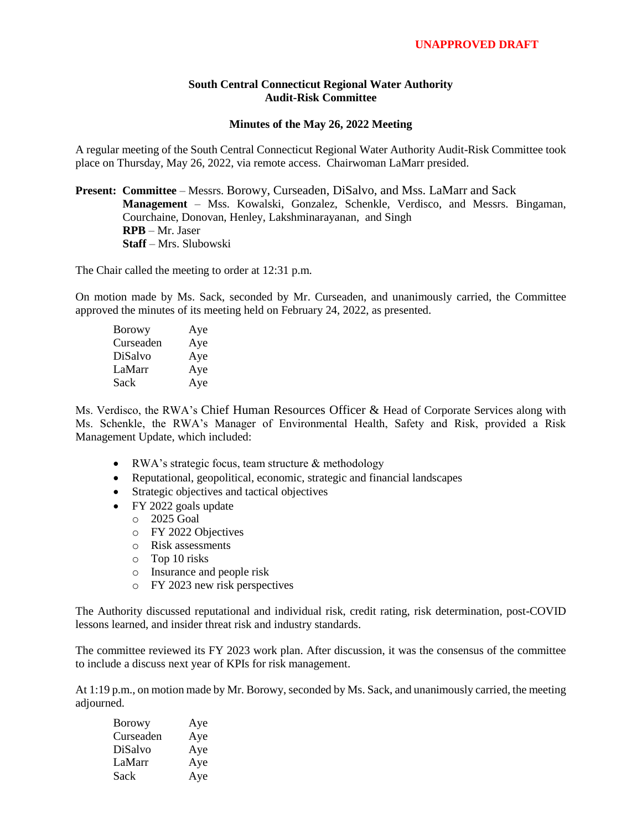## **South Central Connecticut Regional Water Authority Audit-Risk Committee**

## **Minutes of the May 26, 2022 Meeting**

A regular meeting of the South Central Connecticut Regional Water Authority Audit-Risk Committee took place on Thursday, May 26, 2022, via remote access. Chairwoman LaMarr presided.

## **Present: Committee** – Messrs. Borowy, Curseaden, DiSalvo, and Mss. LaMarr and Sack **Management** – Mss. Kowalski, Gonzalez, Schenkle, Verdisco, and Messrs. Bingaman, Courchaine, Donovan, Henley, Lakshminarayanan, and Singh **RPB** – Mr. Jaser **Staff** – Mrs. Slubowski

The Chair called the meeting to order at 12:31 p.m.

On motion made by Ms. Sack, seconded by Mr. Curseaden, and unanimously carried, the Committee approved the minutes of its meeting held on February 24, 2022, as presented.

| Borowy    | Aye |
|-----------|-----|
| Curseaden | Aye |
| DiSalvo   | Aye |
| LaMarr    | Aye |
| Sack      | Aye |

Ms. Verdisco, the RWA's Chief Human Resources Officer & Head of Corporate Services along with Ms. Schenkle, the RWA's Manager of Environmental Health, Safety and Risk, provided a Risk Management Update, which included:

- RWA's strategic focus, team structure & methodology
- Reputational, geopolitical, economic, strategic and financial landscapes
- Strategic objectives and tactical objectives
- FY 2022 goals update
	- o 2025 Goal
	- o FY 2022 Objectives
	- o Risk assessments
	- o Top 10 risks
	- o Insurance and people risk
	- o FY 2023 new risk perspectives

The Authority discussed reputational and individual risk, credit rating, risk determination, post-COVID lessons learned, and insider threat risk and industry standards.

The committee reviewed its FY 2023 work plan. After discussion, it was the consensus of the committee to include a discuss next year of KPIs for risk management.

At 1:19 p.m., on motion made by Mr. Borowy, seconded by Ms. Sack, and unanimously carried, the meeting adjourned.

| <b>Borowy</b> | Aye |
|---------------|-----|
| Curseaden     | Aye |
| DiSalvo       | Aye |
| LaMarr        | Aye |
| Sack          | Aye |